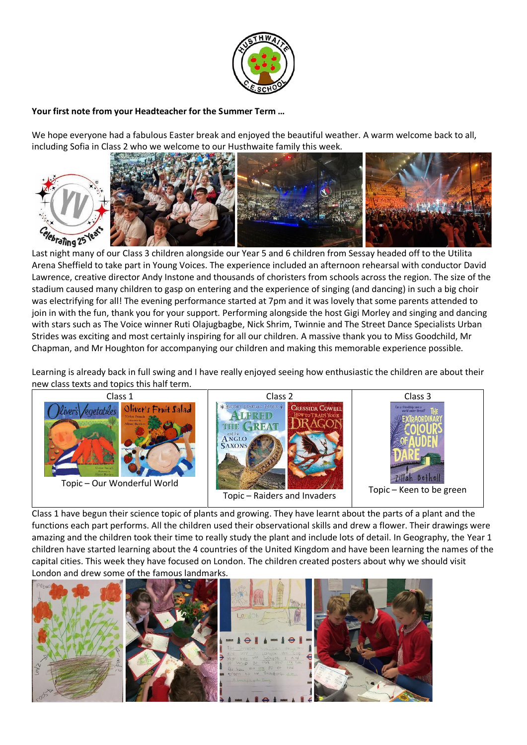

# **Your first note from your Headteacher for the Summer Term …**

We hope everyone had a fabulous Easter break and enjoyed the beautiful weather. A warm welcome back to all, including Sofia in Class 2 who we welcome to our Husthwaite family this week.



Last night many of our Class 3 children alongside our Year 5 and 6 children from Sessay headed off to the Utilita Arena Sheffield to take part in Young Voices. The experience included an afternoon rehearsal with conductor David Lawrence, creative director Andy Instone and thousands of choristers from schools across the region. The size of the stadium caused many children to gasp on entering and the experience of singing (and dancing) in such a big choir was electrifying for all! The evening performance started at 7pm and it was lovely that some parents attended to join in with the fun, thank you for your support. Performing alongside the host Gigi Morley and singing and dancing with stars such as The Voice winner Ruti Olajugbagbe, Nick Shrim, Twinnie and The Street Dance Specialists Urban Strides was exciting and most certainly inspiring for all our children. A massive thank you to Miss Goodchild, Mr Chapman, and Mr Houghton for accompanying our children and making this memorable experience possible.

Learning is already back in full swing and I have really enjoyed seeing how enthusiastic the children are about their new class texts and topics this half term.



Class 1 have begun their science topic of plants and growing. They have learnt about the parts of a plant and the functions each part performs. All the children used their observational skills and drew a flower. Their drawings were amazing and the children took their time to really study the plant and include lots of detail. In Geography, the Year 1 children have started learning about the 4 countries of the United Kingdom and have been learning the names of the capital cities. This week they have focused on London. The children created posters about why we should visit London and drew some of the famous landmarks.

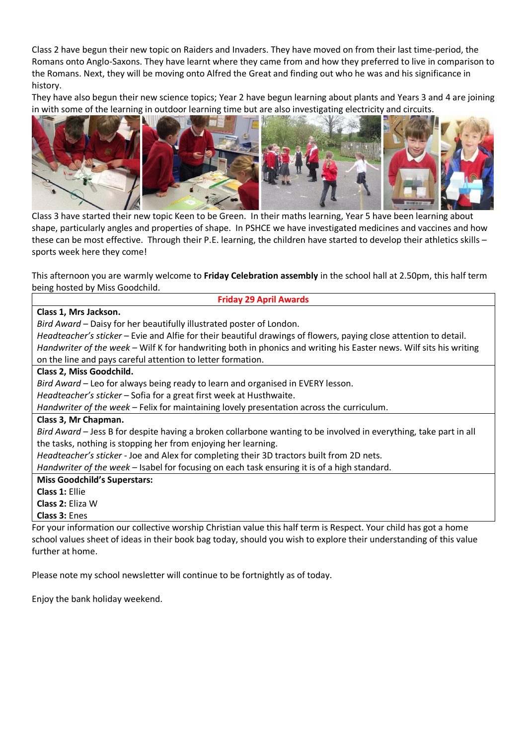Class 2 have begun their new topic on Raiders and Invaders. They have moved on from their last time-period, the Romans onto Anglo-Saxons. They have learnt where they came from and how they preferred to live in comparison to the Romans. Next, they will be moving onto Alfred the Great and finding out who he was and his significance in history.

They have also begun their new science topics; Year 2 have begun learning about plants and Years 3 and 4 are joining in with some of the learning in outdoor learning time but are also investigating electricity and circuits.



Class 3 have started their new topic Keen to be Green. In their maths learning, Year 5 have been learning about shape, particularly angles and properties of shape. In PSHCE we have investigated medicines and vaccines and how these can be most effective. Through their P.E. learning, the children have started to develop their athletics skills – sports week here they come!

This afternoon you are warmly welcome to **Friday Celebration assembly** in the school hall at 2.50pm, this half term being hosted by Miss Goodchild.

# **Friday 29 April Awards**

### **Class 1, Mrs Jackson.**

*Bird Award* – Daisy for her beautifully illustrated poster of London.

*Headteacher's sticker* – Evie and Alfie for their beautiful drawings of flowers, paying close attention to detail.

*Handwriter of the week* – Wilf K for handwriting both in phonics and writing his Easter news. Wilf sits his writing on the line and pays careful attention to letter formation.

#### **Class 2, Miss Goodchild.**

*Bird Award* – Leo for always being ready to learn and organised in EVERY lesson.

*Headteacher's sticker* – Sofia for a great first week at Husthwaite.

*Handwriter of the week* – Felix for maintaining lovely presentation across the curriculum.

### **Class 3, Mr Chapman.**

*Bird Award* – Jess B for despite having a broken collarbone wanting to be involved in everything, take part in all the tasks, nothing is stopping her from enjoying her learning.

*Headteacher's sticker* - Joe and Alex for completing their 3D tractors built from 2D nets.

*Handwriter of the week* – Isabel for focusing on each task ensuring it is of a high standard.

**Miss Goodchild's Superstars:**

**Class 1:** Ellie

**Class 2:** Eliza W

**Class 3:** Enes

For your information our collective worship Christian value this half term is Respect. Your child has got a home school values sheet of ideas in their book bag today, should you wish to explore their understanding of this value further at home.

Please note my school newsletter will continue to be fortnightly as of today.

Enjoy the bank holiday weekend.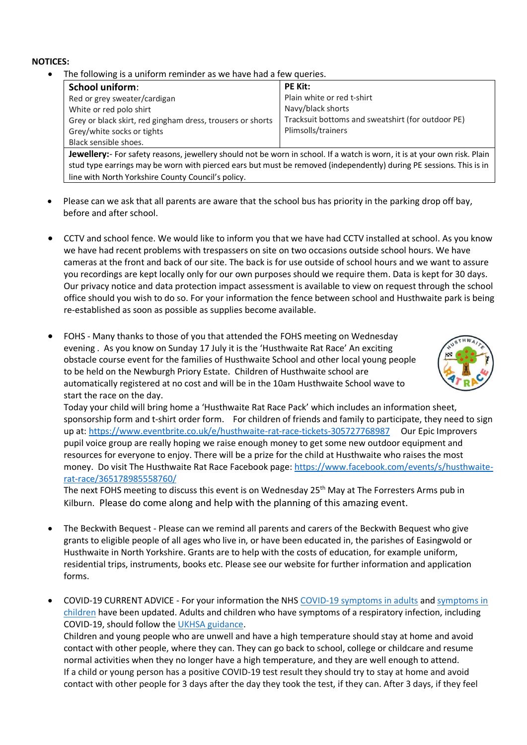#### **NOTICES:**

• The following is a uniform reminder as we have had a few queries.

| <b>School uniform:</b>                                     | <b>PE Kit:</b>                                    |
|------------------------------------------------------------|---------------------------------------------------|
| Red or grey sweater/cardigan                               | Plain white or red t-shirt                        |
| White or red polo shirt                                    | Navy/black shorts                                 |
| Grey or black skirt, red gingham dress, trousers or shorts | Tracksuit bottoms and sweatshirt (for outdoor PE) |
| Grey/white socks or tights                                 | Plimsolls/trainers                                |
| Black sensible shoes.                                      |                                                   |

**Jewellery:**- For safety reasons, jewellery should not be worn in school. If a watch is worn, it is at your own risk. Plain stud type earrings may be worn with pierced ears but must be removed (independently) during PE sessions. This is in line with North Yorkshire County Council's policy.

- Please can we ask that all parents are aware that the school bus has priority in the parking drop off bay, before and after school.
- CCTV and school fence. We would like to inform you that we have had CCTV installed at school. As you know we have had recent problems with trespassers on site on two occasions outside school hours. We have cameras at the front and back of our site. The back is for use outside of school hours and we want to assure you recordings are kept locally only for our own purposes should we require them. Data is kept for 30 days. Our privacy notice and data protection impact assessment is available to view on request through the school office should you wish to do so. For your information the fence between school and Husthwaite park is being re-established as soon as possible as supplies become available.
- FOHS Many thanks to those of you that attended the FOHS meeting on Wednesday evening . As you know on Sunday 17 July it is the 'Husthwaite Rat Race' An exciting obstacle course event for the families of Husthwaite School and other local young people to be held on the Newburgh Priory Estate. Children of Husthwaite school are automatically registered at no cost and will be in the 10am Husthwaite School wave to start the race on the day.



Today your child will bring home a 'Husthwaite Rat Race Pack' which includes an information sheet, sponsorship form and t-shirt order form. For children of friends and family to participate, they need to sign up at:<https://www.eventbrite.co.uk/e/husthwaite-rat-race-tickets-305727768987> Our Epic Improvers pupil voice group are really hoping we raise enough money to get some new outdoor equipment and resources for everyone to enjoy. There will be a prize for the child at Husthwaite who raises the most money. Do visit The Husthwaite Rat Race Facebook page: [https://www.facebook.com/events/s/husthwaite](https://www.facebook.com/events/s/husthwaite-rat-race/365178985558760/)[rat-race/365178985558760/](https://www.facebook.com/events/s/husthwaite-rat-race/365178985558760/)

The next FOHS meeting to discuss this event is on Wednesday 25<sup>th</sup> May at The Forresters Arms pub in Kilburn. Please do come along and help with the planning of this amazing event.

- The Beckwith Bequest Please can we remind all parents and carers of the Beckwith Bequest who give grants to eligible people of all ages who live in, or have been educated in, the parishes of Easingwold or Husthwaite in North Yorkshire. Grants are to help with the costs of education, for example uniform, residential trips, instruments, books etc. Please see our website for further information and application forms.
- COVID-19 CURRENT ADVICE For your information the NHS [COVID-19 symptoms in adults](https://www.nhs.uk/conditions/coronavirus-covid-19/symptoms/main-symptoms/?utm_source=07%20April%202022%20C19&utm_medium=Daily%20Email%20C19&utm_campaign=DfE%20C19) and [symptoms in](https://www.nhs.uk/conditions/coronavirus-covid-19/symptoms/coronavirus-in-children/?utm_source=07%20April%202022%20C19&utm_medium=Daily%20Email%20C19&utm_campaign=DfE%20C19)  [children](https://www.nhs.uk/conditions/coronavirus-covid-19/symptoms/coronavirus-in-children/?utm_source=07%20April%202022%20C19&utm_medium=Daily%20Email%20C19&utm_campaign=DfE%20C19) have been updated. Adults and children who have symptoms of a respiratory infection, including COVID-19, should follow the [UKHSA guidance.](https://www.gov.uk/guidance/people-with-symptoms-of-a-respiratory-infection-including-covid-19#symptoms-of-respiratory-infections-including-covid-19?utm_source=07%20April%202022%20C19&utm_medium=Daily%20Email%20C19&utm_campaign=DfE%20C19) Children and young people who are unwell and have a high temperature should stay at home and avoid contact with other people, where they can. They can go back to school, college or childcare and resume normal activities when they no longer have a high temperature, and they are well enough to attend. If a child or young person has a positive COVID-19 test result they should try to stay at home and avoid contact with other people for 3 days after the day they took the test, if they can. After 3 days, if they feel